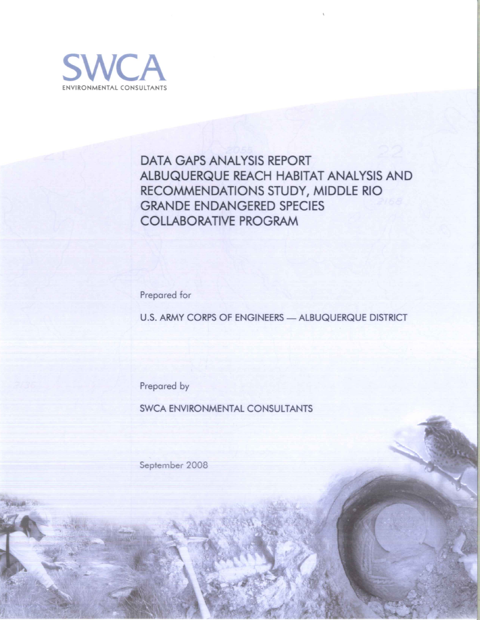

# **DATA GAPS ANALYSIS REPORT** ALBUQUERQUE REACH HABITAT ANALYSIS AND RECOMMENDATIONS STUDY, MIDDLE RIO **GRANDE ENDANGERED SPECIES COLLABORATIVE PROGRAM**

Prepared for

U.S. ARMY CORPS OF ENGINEERS - ALBUQUERQUE DISTRICT

Prepared by

**SWCA ENVIRONMENTAL CONSULTANTS** 

September 2008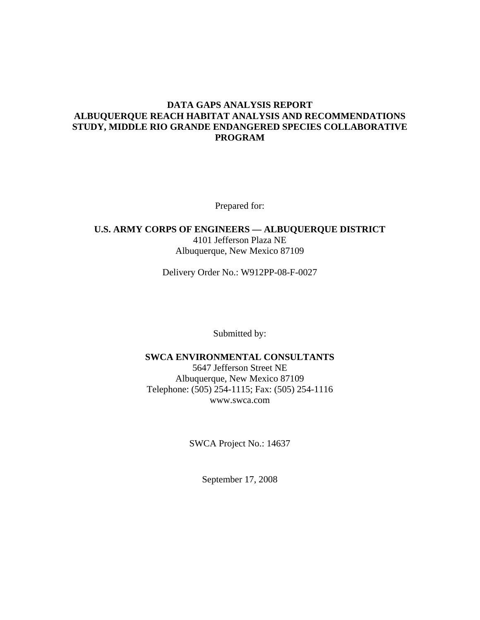#### **DATA GAPS ANALYSIS REPORT ALBUQUERQUE REACH HABITAT ANALYSIS AND RECOMMENDATIONS STUDY, MIDDLE RIO GRANDE ENDANGERED SPECIES COLLABORATIVE PROGRAM**

Prepared for:

#### **U.S. ARMY CORPS OF ENGINEERS — ALBUQUERQUE DISTRICT**  4101 Jefferson Plaza NE Albuquerque, New Mexico 87109

Delivery Order No.: W912PP-08-F-0027

Submitted by:

#### **SWCA ENVIRONMENTAL CONSULTANTS**

5647 Jefferson Street NE Albuquerque, New Mexico 87109 Telephone: (505) 254-1115; Fax: (505) 254-1116 www.swca.com

SWCA Project No.: 14637

September 17, 2008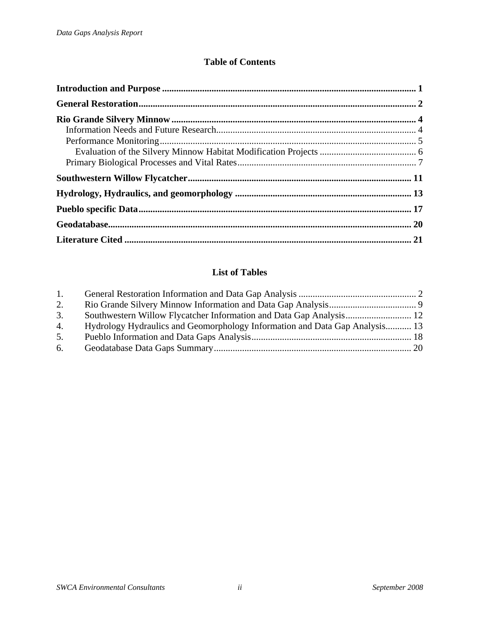### **Table of Contents**

### **List of Tables**

| $\mathbf{1}$ . |                                                                             |  |
|----------------|-----------------------------------------------------------------------------|--|
| 2.             |                                                                             |  |
| 3.             |                                                                             |  |
| 4.             | Hydrology Hydraulics and Geomorphology Information and Data Gap Analysis 13 |  |
| 5.             |                                                                             |  |
| 6.             |                                                                             |  |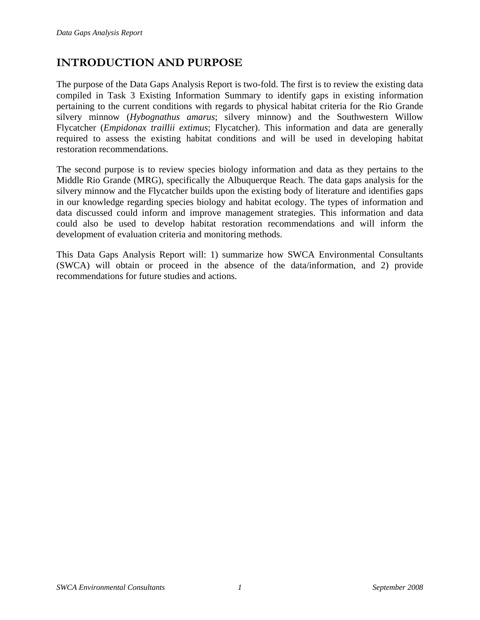# <span id="page-3-0"></span>**INTRODUCTION AND PURPOSE**

The purpose of the Data Gaps Analysis Report is two-fold. The first is to review the existing data compiled in Task 3 Existing Information Summary to identify gaps in existing information pertaining to the current conditions with regards to physical habitat criteria for the Rio Grande silvery minnow (*Hybognathus amarus*; silvery minnow) and the Southwestern Willow Flycatcher (*Empidonax traillii extimus*; Flycatcher). This information and data are generally required to assess the existing habitat conditions and will be used in developing habitat restoration recommendations.

The second purpose is to review species biology information and data as they pertains to the Middle Rio Grande (MRG), specifically the Albuquerque Reach. The data gaps analysis for the silvery minnow and the Flycatcher builds upon the existing body of literature and identifies gaps in our knowledge regarding species biology and habitat ecology. The types of information and data discussed could inform and improve management strategies. This information and data could also be used to develop habitat restoration recommendations and will inform the development of evaluation criteria and monitoring methods.

This Data Gaps Analysis Report will: 1) summarize how SWCA Environmental Consultants (SWCA) will obtain or proceed in the absence of the data/information, and 2) provide recommendations for future studies and actions.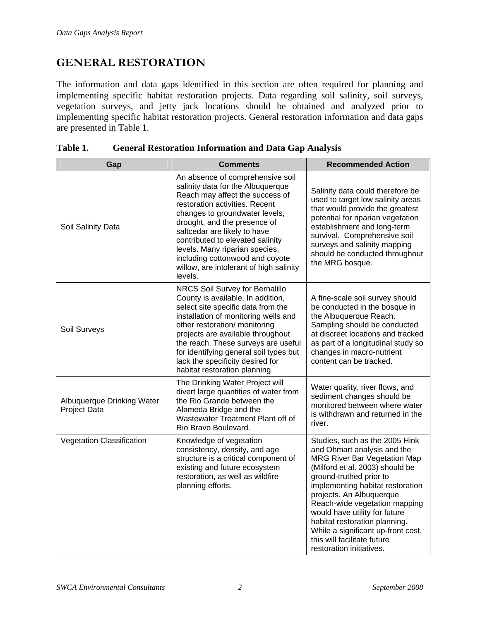# <span id="page-4-0"></span>**GENERAL RESTORATION**

The information and data gaps identified in this section are often required for planning and implementing specific habitat restoration projects. Data regarding soil salinity, soil surveys, vegetation surveys, and jetty jack locations should be obtained and analyzed prior to implementing specific habitat restoration projects. General restoration information and data gaps are presented in [Table 1](#page-4-1).

<span id="page-4-1"></span>

| Gap                                        | <b>Comments</b>                                                                                                                                                                                                                                                                                                                                                                                             | <b>Recommended Action</b>                                                                                                                                                                                                                                                                                                                                                                                                              |
|--------------------------------------------|-------------------------------------------------------------------------------------------------------------------------------------------------------------------------------------------------------------------------------------------------------------------------------------------------------------------------------------------------------------------------------------------------------------|----------------------------------------------------------------------------------------------------------------------------------------------------------------------------------------------------------------------------------------------------------------------------------------------------------------------------------------------------------------------------------------------------------------------------------------|
| Soil Salinity Data                         | An absence of comprehensive soil<br>salinity data for the Albuquerque<br>Reach may affect the success of<br>restoration activities. Recent<br>changes to groundwater levels,<br>drought, and the presence of<br>saltcedar are likely to have<br>contributed to elevated salinity<br>levels. Many riparian species,<br>including cottonwood and coyote<br>willow, are intolerant of high salinity<br>levels. | Salinity data could therefore be<br>used to target low salinity areas<br>that would provide the greatest<br>potential for riparian vegetation<br>establishment and long-term<br>survival. Comprehensive soil<br>surveys and salinity mapping<br>should be conducted throughout<br>the MRG bosque.                                                                                                                                      |
| Soil Surveys                               | NRCS Soil Survey for Bernalillo<br>County is available. In addition,<br>select site specific data from the<br>installation of monitoring wells and<br>other restoration/ monitoring<br>projects are available throughout<br>the reach. These surveys are useful<br>for identifying general soil types but<br>lack the specificity desired for<br>habitat restoration planning.                              | A fine-scale soil survey should<br>be conducted in the bosque in<br>the Albuquerque Reach.<br>Sampling should be conducted<br>at discreet locations and tracked<br>as part of a longitudinal study so<br>changes in macro-nutrient<br>content can be tracked.                                                                                                                                                                          |
| Albuquerque Drinking Water<br>Project Data | The Drinking Water Project will<br>divert large quantities of water from<br>the Rio Grande between the<br>Alameda Bridge and the<br>Wastewater Treatment Plant off of<br>Rio Bravo Boulevard.                                                                                                                                                                                                               | Water quality, river flows, and<br>sediment changes should be<br>monitored between where water<br>is withdrawn and returned in the<br>river.                                                                                                                                                                                                                                                                                           |
| Vegetation Classification                  | Knowledge of vegetation<br>consistency, density, and age<br>structure is a critical component of<br>existing and future ecosystem<br>restoration, as well as wildfire<br>planning efforts.                                                                                                                                                                                                                  | Studies, such as the 2005 Hink<br>and Ohmart analysis and the<br><b>MRG River Bar Vegetation Map</b><br>(Milford et al. 2003) should be<br>ground-truthed prior to<br>implementing habitat restoration<br>projects. An Albuquerque<br>Reach-wide vegetation mapping<br>would have utility for future<br>habitat restoration planning.<br>While a significant up-front cost,<br>this will facilitate future<br>restoration initiatives. |

| Table 1. | <b>General Restoration Information and Data Gap Analysis</b> |  |  |
|----------|--------------------------------------------------------------|--|--|
|          |                                                              |  |  |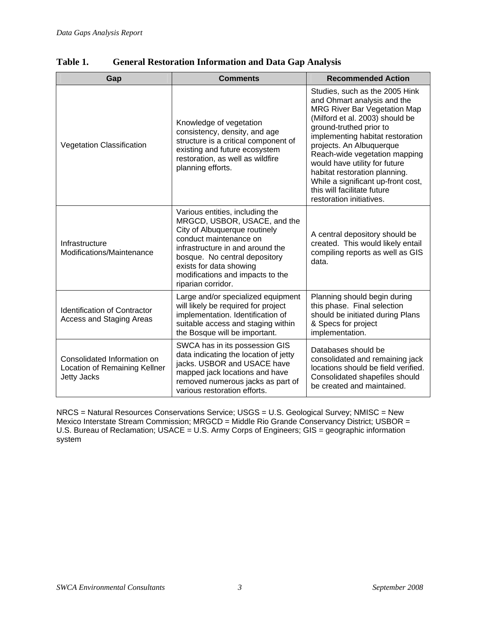| Gap                                                                                                                                                                                                                                                                                                                                 | <b>Comments</b>                                                                                                                                                                                               | <b>Recommended Action</b>                                                                                                                                                                                                                                                                                                                                                                                                              |
|-------------------------------------------------------------------------------------------------------------------------------------------------------------------------------------------------------------------------------------------------------------------------------------------------------------------------------------|---------------------------------------------------------------------------------------------------------------------------------------------------------------------------------------------------------------|----------------------------------------------------------------------------------------------------------------------------------------------------------------------------------------------------------------------------------------------------------------------------------------------------------------------------------------------------------------------------------------------------------------------------------------|
| Vegetation Classification                                                                                                                                                                                                                                                                                                           | Knowledge of vegetation<br>consistency, density, and age<br>structure is a critical component of<br>existing and future ecosystem<br>restoration, as well as wildfire<br>planning efforts.                    | Studies, such as the 2005 Hink<br>and Ohmart analysis and the<br><b>MRG River Bar Vegetation Map</b><br>(Milford et al. 2003) should be<br>ground-truthed prior to<br>implementing habitat restoration<br>projects. An Albuquerque<br>Reach-wide vegetation mapping<br>would have utility for future<br>habitat restoration planning.<br>While a significant up-front cost,<br>this will facilitate future<br>restoration initiatives. |
| Various entities, including the<br>MRGCD, USBOR, USACE, and the<br>City of Albuquerque routinely<br>conduct maintenance on<br>Infrastructure<br>infrastructure in and around the<br>Modifications/Maintenance<br>bosque. No central depository<br>exists for data showing<br>modifications and impacts to the<br>riparian corridor. |                                                                                                                                                                                                               | A central depository should be<br>created. This would likely entail<br>compiling reports as well as GIS<br>data.                                                                                                                                                                                                                                                                                                                       |
| <b>Identification of Contractor</b><br><b>Access and Staging Areas</b>                                                                                                                                                                                                                                                              | Large and/or specialized equipment<br>will likely be required for project<br>implementation. Identification of<br>suitable access and staging within<br>the Bosque will be important.                         | Planning should begin during<br>this phase. Final selection<br>should be initiated during Plans<br>& Specs for project<br>implementation.                                                                                                                                                                                                                                                                                              |
| Consolidated Information on<br>Location of Remaining Kellner<br><b>Jetty Jacks</b>                                                                                                                                                                                                                                                  | SWCA has in its possession GIS<br>data indicating the location of jetty<br>jacks. USBOR and USACE have<br>mapped jack locations and have<br>removed numerous jacks as part of<br>various restoration efforts. | Databases should be<br>consolidated and remaining jack<br>locations should be field verified.<br>Consolidated shapefiles should<br>be created and maintained.                                                                                                                                                                                                                                                                          |

**Table 1. General Restoration Information and Data Gap Analysis** 

NRCS = Natural Resources Conservations Service; USGS = U.S. Geological Survey; NMISC = New Mexico Interstate Stream Commission; MRGCD = Middle Rio Grande Conservancy District; USBOR = U.S. Bureau of Reclamation; USACE = U.S. Army Corps of Engineers; GIS = geographic information system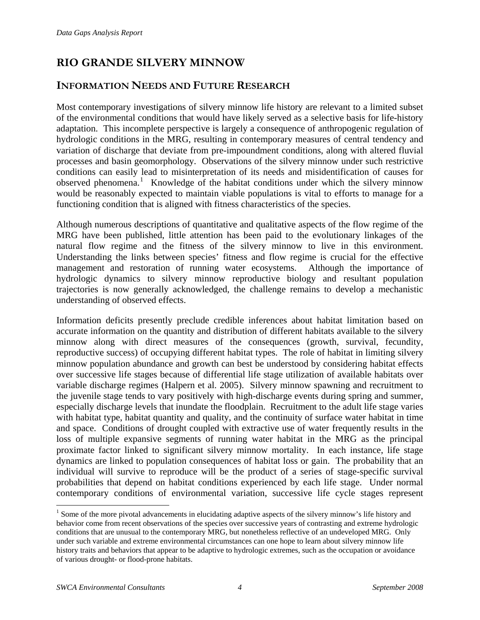# <span id="page-6-0"></span>**RIO GRANDE SILVERY MINNOW**

### **INFORMATION NEEDS AND FUTURE RESEARCH**

Most contemporary investigations of silvery minnow life history are relevant to a limited subset of the environmental conditions that would have likely served as a selective basis for life-history adaptation. This incomplete perspective is largely a consequence of anthropogenic regulation of hydrologic conditions in the MRG, resulting in contemporary measures of central tendency and variation of discharge that deviate from pre-impoundment conditions, along with altered fluvial processes and basin geomorphology. Observations of the silvery minnow under such restrictive conditions can easily lead to misinterpretation of its needs and misidentification of causes for observed phenomena.<sup>[1](#page-6-1)</sup> Knowledge of the habitat conditions under which the silvery minnow would be reasonably expected to maintain viable populations is vital to efforts to manage for a functioning condition that is aligned with fitness characteristics of the species.

Although numerous descriptions of quantitative and qualitative aspects of the flow regime of the MRG have been published, little attention has been paid to the evolutionary linkages of the natural flow regime and the fitness of the silvery minnow to live in this environment. Understanding the links between species' fitness and flow regime is crucial for the effective management and restoration of running water ecosystems. Although the importance of hydrologic dynamics to silvery minnow reproductive biology and resultant population trajectories is now generally acknowledged, the challenge remains to develop a mechanistic understanding of observed effects.

Information deficits presently preclude credible inferences about habitat limitation based on accurate information on the quantity and distribution of different habitats available to the silvery minnow along with direct measures of the consequences (growth, survival, fecundity, reproductive success) of occupying different habitat types. The role of habitat in limiting silvery minnow population abundance and growth can best be understood by considering habitat effects over successive life stages because of differential life stage utilization of available habitats over variable discharge regimes (Halpern et al. 2005). Silvery minnow spawning and recruitment to the juvenile stage tends to vary positively with high-discharge events during spring and summer, especially discharge levels that inundate the floodplain. Recruitment to the adult life stage varies with habitat type, habitat quantity and quality, and the continuity of surface water habitat in time and space. Conditions of drought coupled with extractive use of water frequently results in the loss of multiple expansive segments of running water habitat in the MRG as the principal proximate factor linked to significant silvery minnow mortality. In each instance, life stage dynamics are linked to population consequences of habitat loss or gain. The probability that an individual will survive to reproduce will be the product of a series of stage-specific survival probabilities that depend on habitat conditions experienced by each life stage. Under normal contemporary conditions of environmental variation, successive life cycle stages represent

 $\overline{a}$ 

<span id="page-6-1"></span><sup>&</sup>lt;sup>1</sup> Some of the more pivotal advancements in elucidating adaptive aspects of the silvery minnow's life history and behavior come from recent observations of the species over successive years of contrasting and extreme hydrologic conditions that are unusual to the contemporary MRG, but nonetheless reflective of an undeveloped MRG. Only under such variable and extreme environmental circumstances can one hope to learn about silvery minnow life history traits and behaviors that appear to be adaptive to hydrologic extremes, such as the occupation or avoidance of various drought- or flood-prone habitats.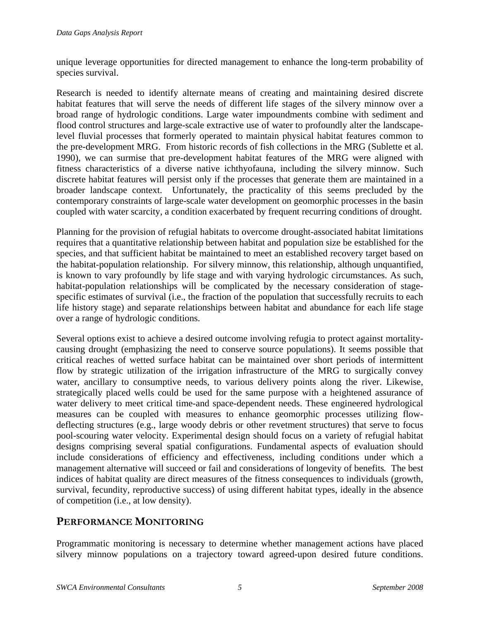<span id="page-7-0"></span>unique leverage opportunities for directed management to enhance the long-term probability of species survival.

Research is needed to identify alternate means of creating and maintaining desired discrete habitat features that will serve the needs of different life stages of the silvery minnow over a broad range of hydrologic conditions. Large water impoundments combine with sediment and flood control structures and large-scale extractive use of water to profoundly alter the landscapelevel fluvial processes that formerly operated to maintain physical habitat features common to the pre-development MRG. From historic records of fish collections in the MRG (Sublette et al. 1990), we can surmise that pre-development habitat features of the MRG were aligned with fitness characteristics of a diverse native ichthyofauna, including the silvery minnow. Such discrete habitat features will persist only if the processes that generate them are maintained in a broader landscape context. Unfortunately, the practicality of this seems precluded by the contemporary constraints of large-scale water development on geomorphic processes in the basin coupled with water scarcity, a condition exacerbated by frequent recurring conditions of drought.

Planning for the provision of refugial habitats to overcome drought-associated habitat limitations requires that a quantitative relationship between habitat and population size be established for the species, and that sufficient habitat be maintained to meet an established recovery target based on the habitat-population relationship. For silvery minnow, this relationship, although unquantified, is known to vary profoundly by life stage and with varying hydrologic circumstances. As such, habitat-population relationships will be complicated by the necessary consideration of stagespecific estimates of survival (i.e., the fraction of the population that successfully recruits to each life history stage) and separate relationships between habitat and abundance for each life stage over a range of hydrologic conditions.

Several options exist to achieve a desired outcome involving refugia to protect against mortalitycausing drought (emphasizing the need to conserve source populations). It seems possible that critical reaches of wetted surface habitat can be maintained over short periods of intermittent flow by strategic utilization of the irrigation infrastructure of the MRG to surgically convey water, ancillary to consumptive needs, to various delivery points along the river. Likewise, strategically placed wells could be used for the same purpose with a heightened assurance of water delivery to meet critical time-and space-dependent needs. These engineered hydrological measures can be coupled with measures to enhance geomorphic processes utilizing flowdeflecting structures (e.g., large woody debris or other revetment structures) that serve to focus pool-scouring water velocity. Experimental design should focus on a variety of refugial habitat designs comprising several spatial configurations. Fundamental aspects of evaluation should include considerations of efficiency and effectiveness, including conditions under which a management alternative will succeed or fail and considerations of longevity of benefits*.* The best indices of habitat quality are direct measures of the fitness consequences to individuals (growth, survival, fecundity, reproductive success) of using different habitat types, ideally in the absence of competition (i.e., at low density).

### **PERFORMANCE MONITORING**

Programmatic monitoring is necessary to determine whether management actions have placed silvery minnow populations on a trajectory toward agreed-upon desired future conditions.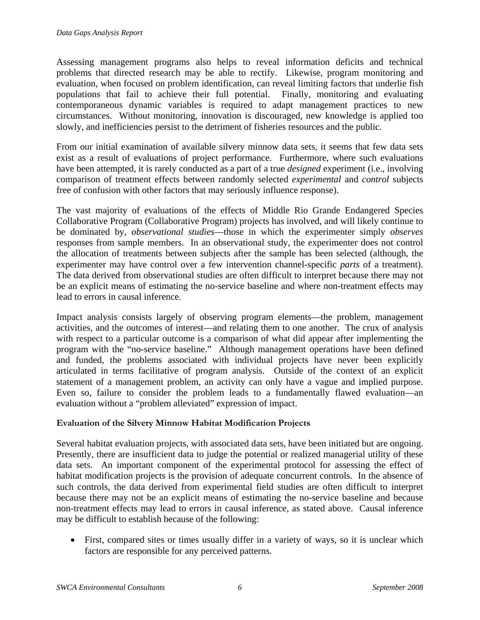<span id="page-8-0"></span>Assessing management programs also helps to reveal information deficits and technical problems that directed research may be able to rectify. Likewise, program monitoring and evaluation, when focused on problem identification, can reveal limiting factors that underlie fish populations that fail to achieve their full potential. Finally, monitoring and evaluating contemporaneous dynamic variables is required to adapt management practices to new circumstances. Without monitoring, innovation is discouraged, new knowledge is applied too slowly, and inefficiencies persist to the detriment of fisheries resources and the public.

From our initial examination of available silvery minnow data sets, it seems that few data sets exist as a result of evaluations of project performance. Furthermore, where such evaluations have been attempted, it is rarely conducted as a part of a true *designed* experiment (i.e., involving comparison of treatment effects between randomly selected *experimental* and *control* subjects free of confusion with other factors that may seriously influence response).

The vast majority of evaluations of the effects of Middle Rio Grande Endangered Species Collaborative Program (Collaborative Program) projects has involved, and will likely continue to be dominated by, *observational studies*—those in which the experimenter simply *observes* responses from sample members. In an observational study, the experimenter does not control the allocation of treatments between subjects after the sample has been selected (although, the experimenter may have control over a few intervention channel-specific *parts* of a treatment). The data derived from observational studies are often difficult to interpret because there may not be an explicit means of estimating the no-service baseline and where non-treatment effects may lead to errors in causal inference.

Impact analysis consists largely of observing program elements—the problem, management activities, and the outcomes of interest—and relating them to one another. The crux of analysis with respect to a particular outcome is a comparison of what did appear after implementing the program with the "no-service baseline." Although management operations have been defined and funded, the problems associated with individual projects have never been explicitly articulated in terms facilitative of program analysis. Outside of the context of an explicit statement of a management problem, an activity can only have a vague and implied purpose. Even so, failure to consider the problem leads to a fundamentally flawed evaluation—an evaluation without a "problem alleviated" expression of impact.

#### **Evaluation of the Silvery Minnow Habitat Modification Projects**

Several habitat evaluation projects, with associated data sets, have been initiated but are ongoing. Presently, there are insufficient data to judge the potential or realized managerial utility of these data sets. An important component of the experimental protocol for assessing the effect of habitat modification projects is the provision of adequate concurrent controls. In the absence of such controls, the data derived from experimental field studies are often difficult to interpret because there may not be an explicit means of estimating the no-service baseline and because non-treatment effects may lead to errors in causal inference, as stated above. Causal inference may be difficult to establish because of the following:

• First, compared sites or times usually differ in a variety of ways, so it is unclear which factors are responsible for any perceived patterns.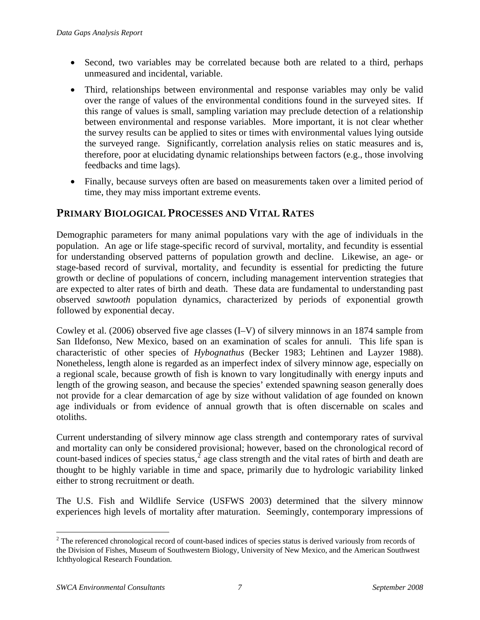- <span id="page-9-0"></span>• Second, two variables may be correlated because both are related to a third, perhaps unmeasured and incidental, variable.
- Third, relationships between environmental and response variables may only be valid over the range of values of the environmental conditions found in the surveyed sites. If this range of values is small, sampling variation may preclude detection of a relationship between environmental and response variables. More important, it is not clear whether the survey results can be applied to sites or times with environmental values lying outside the surveyed range. Significantly, correlation analysis relies on static measures and is, therefore, poor at elucidating dynamic relationships between factors (e.g., those involving feedbacks and time lags).
- Finally, because surveys often are based on measurements taken over a limited period of time, they may miss important extreme events.

### **PRIMARY BIOLOGICAL PROCESSES AND VITAL RATES**

Demographic parameters for many animal populations vary with the age of individuals in the population. An age or life stage-specific record of survival, mortality, and fecundity is essential for understanding observed patterns of population growth and decline. Likewise, an age- or stage-based record of survival, mortality, and fecundity is essential for predicting the future growth or decline of populations of concern, including management intervention strategies that are expected to alter rates of birth and death. These data are fundamental to understanding past observed *sawtooth* population dynamics, characterized by periods of exponential growth followed by exponential decay.

Cowley et al. (2006) observed five age classes (I–V) of silvery minnows in an 1874 sample from San Ildefonso, New Mexico, based on an examination of scales for annuli. This life span is characteristic of other species of *Hybognathus* (Becker 1983; Lehtinen and Layzer 1988). Nonetheless, length alone is regarded as an imperfect index of silvery minnow age, especially on a regional scale, because growth of fish is known to vary longitudinally with energy inputs and length of the growing season, and because the species' extended spawning season generally does not provide for a clear demarcation of age by size without validation of age founded on known age individuals or from evidence of annual growth that is often discernable on scales and otoliths.

Current understanding of silvery minnow age class strength and contemporary rates of survival and mortality can only be considered provisional; however, based on the chronological record of count-based indices of species status,  $\epsilon^2$  $\epsilon^2$  age class strength and the vital rates of birth and death are thought to be highly variable in time and space, primarily due to hydrologic variability linked either to strong recruitment or death.

The U.S. Fish and Wildlife Service (USFWS 2003) determined that the silvery minnow experiences high levels of mortality after maturation. Seemingly, contemporary impressions of

<span id="page-9-1"></span> $\overline{a}$  $2<sup>2</sup>$  The referenced chronological record of count-based indices of species status is derived variously from records of the Division of Fishes, Museum of Southwestern Biology, University of New Mexico, and the American Southwest Ichthyological Research Foundation.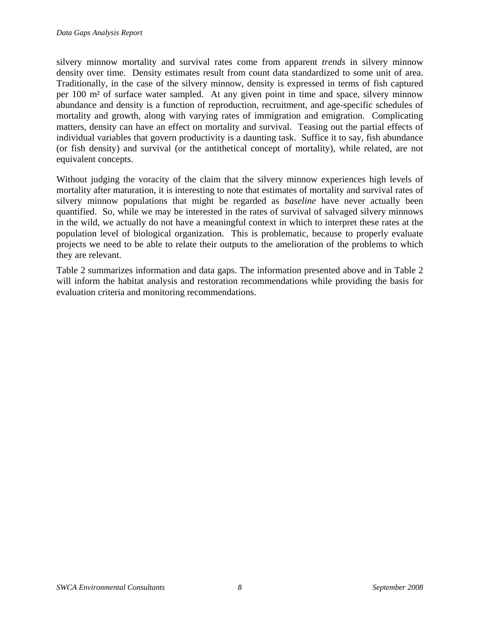silvery minnow mortality and survival rates come from apparent *trends* in silvery minnow density over time. Density estimates result from count data standardized to some unit of area. Traditionally, in the case of the silvery minnow, density is expressed in terms of fish captured per 100 m² of surface water sampled. At any given point in time and space, silvery minnow abundance and density is a function of reproduction, recruitment, and age-specific schedules of mortality and growth, along with varying rates of immigration and emigration. Complicating matters, density can have an effect on mortality and survival. Teasing out the partial effects of individual variables that govern productivity is a daunting task. Suffice it to say, fish abundance (or fish density) and survival (or the antithetical concept of mortality), while related, are not equivalent concepts.

Without judging the voracity of the claim that the silvery minnow experiences high levels of mortality after maturation, it is interesting to note that estimates of mortality and survival rates of silvery minnow populations that might be regarded as *baseline* have never actually been quantified. So, while we may be interested in the rates of survival of salvaged silvery minnows in the wild, we actually do not have a meaningful context in which to interpret these rates at the population level of biological organization. This is problematic, because to properly evaluate projects we need to be able to relate their outputs to the amelioration of the problems to which they are relevant.

[Table 2](#page-11-1) summarizes information and data gaps. The information presented above and in Table 2 will inform the habitat analysis and restoration recommendations while providing the basis for evaluation criteria and monitoring recommendations.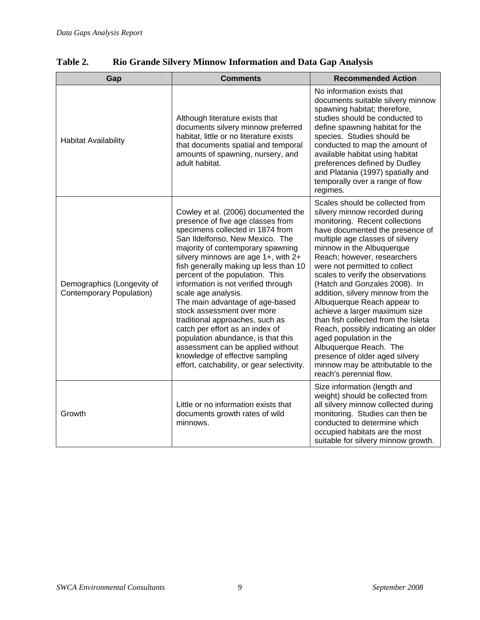| Gap                                                           | <b>Comments</b>                                                                                                                                                                                                                                                                                                                                                                                                                                                                                                                                                                                                                                                          | <b>Recommended Action</b>                                                                                                                                                                                                                                                                                                                                                                                                                                                                                                                                                                                                                                                             |
|---------------------------------------------------------------|--------------------------------------------------------------------------------------------------------------------------------------------------------------------------------------------------------------------------------------------------------------------------------------------------------------------------------------------------------------------------------------------------------------------------------------------------------------------------------------------------------------------------------------------------------------------------------------------------------------------------------------------------------------------------|---------------------------------------------------------------------------------------------------------------------------------------------------------------------------------------------------------------------------------------------------------------------------------------------------------------------------------------------------------------------------------------------------------------------------------------------------------------------------------------------------------------------------------------------------------------------------------------------------------------------------------------------------------------------------------------|
| <b>Habitat Availability</b>                                   | Although literature exists that<br>documents silvery minnow preferred<br>habitat, little or no literature exists<br>that documents spatial and temporal<br>amounts of spawning, nursery, and<br>adult habitat.                                                                                                                                                                                                                                                                                                                                                                                                                                                           | No information exists that<br>documents suitable silvery minnow<br>spawning habitat; therefore,<br>studies should be conducted to<br>define spawning habitat for the<br>species. Studies should be<br>conducted to map the amount of<br>available habitat using habitat<br>preferences defined by Dudley<br>and Platania (1997) spatially and<br>temporally over a range of flow<br>regimes.                                                                                                                                                                                                                                                                                          |
| Demographics (Longevity of<br><b>Contemporary Population)</b> | Cowley et al. (2006) documented the<br>presence of five age classes from<br>specimens collected in 1874 from<br>San Ildelfonso, New Mexico. The<br>majority of contemporary spawning<br>silvery minnows are age 1+, with 2+<br>fish generally making up less than 10<br>percent of the population. This<br>information is not verified through<br>scale age analysis.<br>The main advantage of age-based<br>stock assessment over more<br>traditional approaches, such as<br>catch per effort as an index of<br>population abundance, is that this<br>assessment can be applied without<br>knowledge of effective sampling<br>effort, catchability, or gear selectivity. | Scales should be collected from<br>silvery minnow recorded during<br>monitoring. Recent collections<br>have documented the presence of<br>multiple age classes of silvery<br>minnow in the Albuquerque<br>Reach; however, researchers<br>were not permitted to collect<br>scales to verify the observations<br>(Hatch and Gonzales 2008). In<br>addition, silvery minnow from the<br>Albuquerque Reach appear to<br>achieve a larger maximum size<br>than fish collected from the Isleta<br>Reach, possibly indicating an older<br>aged population in the<br>Albuquerque Reach. The<br>presence of older aged silvery<br>minnow may be attributable to the<br>reach's perennial flow. |
| Growth                                                        | Little or no information exists that<br>documents growth rates of wild<br>minnows.                                                                                                                                                                                                                                                                                                                                                                                                                                                                                                                                                                                       | Size information (length and<br>weight) should be collected from<br>all silvery minnow collected during<br>monitoring. Studies can then be<br>conducted to determine which<br>occupied habitats are the most<br>suitable for silvery minnow growth.                                                                                                                                                                                                                                                                                                                                                                                                                                   |

### <span id="page-11-1"></span><span id="page-11-0"></span>**Table 2. Rio Grande Silvery Minnow Information and Data Gap Analysis**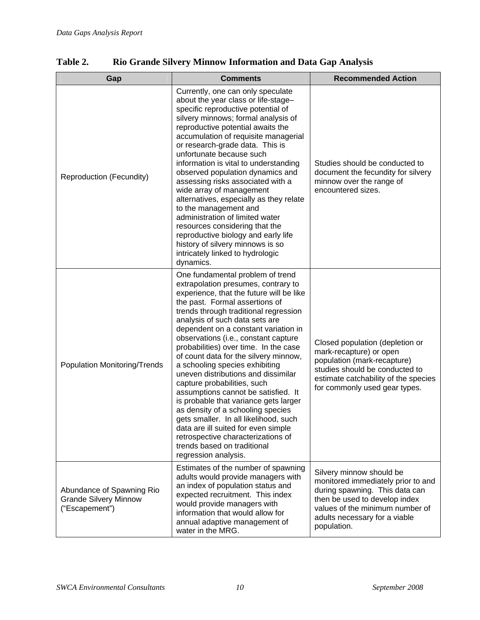| Gap                                                                         | <b>Comments</b>                                                                                                                                                                                                                                                                                                                                                                                                                                                                                                                                                                                                                                                                                                                                                                                              | <b>Recommended Action</b>                                                                                                                                                                                            |
|-----------------------------------------------------------------------------|--------------------------------------------------------------------------------------------------------------------------------------------------------------------------------------------------------------------------------------------------------------------------------------------------------------------------------------------------------------------------------------------------------------------------------------------------------------------------------------------------------------------------------------------------------------------------------------------------------------------------------------------------------------------------------------------------------------------------------------------------------------------------------------------------------------|----------------------------------------------------------------------------------------------------------------------------------------------------------------------------------------------------------------------|
| Reproduction (Fecundity)                                                    | Currently, one can only speculate<br>about the year class or life-stage-<br>specific reproductive potential of<br>silvery minnows; formal analysis of<br>reproductive potential awaits the<br>accumulation of requisite managerial<br>or research-grade data. This is<br>unfortunate because such<br>information is vital to understanding<br>observed population dynamics and<br>assessing risks associated with a<br>wide array of management<br>alternatives, especially as they relate<br>to the management and<br>administration of limited water<br>resources considering that the<br>reproductive biology and early life<br>history of silvery minnows is so<br>intricately linked to hydrologic<br>dynamics.                                                                                         | Studies should be conducted to<br>document the fecundity for silvery<br>minnow over the range of<br>encountered sizes.                                                                                               |
| Population Monitoring/Trends                                                | One fundamental problem of trend<br>extrapolation presumes, contrary to<br>experience, that the future will be like<br>the past. Formal assertions of<br>trends through traditional regression<br>analysis of such data sets are<br>dependent on a constant variation in<br>observations (i.e., constant capture<br>probabilities) over time. In the case<br>of count data for the silvery minnow,<br>a schooling species exhibiting<br>uneven distributions and dissimilar<br>capture probabilities, such<br>assumptions cannot be satisfied. It<br>is probable that variance gets larger<br>as density of a schooling species<br>gets smaller. In all likelihood, such<br>data are ill suited for even simple<br>retrospective characterizations of<br>trends based on traditional<br>regression analysis. | Closed population (depletion or<br>mark-recapture) or open<br>population (mark-recapture)<br>studies should be conducted to<br>estimate catchability of the species<br>for commonly used gear types.                 |
| Abundance of Spawning Rio<br><b>Grande Silvery Minnow</b><br>("Escapement") | Estimates of the number of spawning<br>adults would provide managers with<br>an index of population status and<br>expected recruitment. This index<br>would provide managers with<br>information that would allow for<br>annual adaptive management of<br>water in the MRG.                                                                                                                                                                                                                                                                                                                                                                                                                                                                                                                                  | Silvery minnow should be<br>monitored immediately prior to and<br>during spawning. This data can<br>then be used to develop index<br>values of the minimum number of<br>adults necessary for a viable<br>population. |

**Table 2. Rio Grande Silvery Minnow Information and Data Gap Analysis**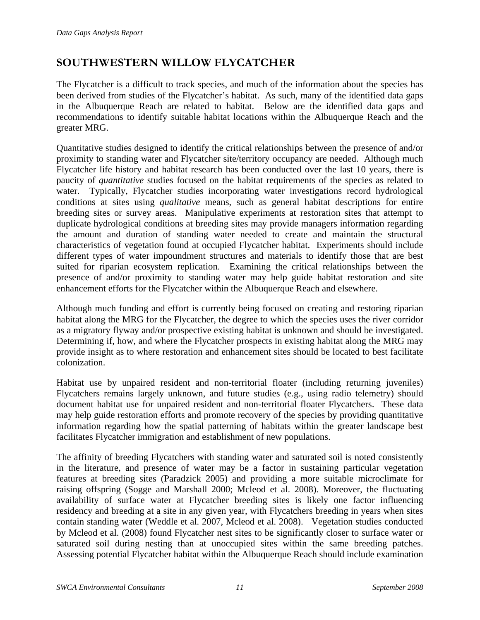### <span id="page-13-0"></span>**SOUTHWESTERN WILLOW FLYCATCHER**

The Flycatcher is a difficult to track species, and much of the information about the species has been derived from studies of the Flycatcher's habitat. As such, many of the identified data gaps in the Albuquerque Reach are related to habitat. Below are the identified data gaps and recommendations to identify suitable habitat locations within the Albuquerque Reach and the greater MRG.

Quantitative studies designed to identify the critical relationships between the presence of and/or proximity to standing water and Flycatcher site/territory occupancy are needed. Although much Flycatcher life history and habitat research has been conducted over the last 10 years, there is paucity of *quantitative* studies focused on the habitat requirements of the species as related to water. Typically, Flycatcher studies incorporating water investigations record hydrological conditions at sites using *qualitative* means, such as general habitat descriptions for entire breeding sites or survey areas. Manipulative experiments at restoration sites that attempt to duplicate hydrological conditions at breeding sites may provide managers information regarding the amount and duration of standing water needed to create and maintain the structural characteristics of vegetation found at occupied Flycatcher habitat. Experiments should include different types of water impoundment structures and materials to identify those that are best suited for riparian ecosystem replication. Examining the critical relationships between the presence of and/or proximity to standing water may help guide habitat restoration and site enhancement efforts for the Flycatcher within the Albuquerque Reach and elsewhere.

Although much funding and effort is currently being focused on creating and restoring riparian habitat along the MRG for the Flycatcher, the degree to which the species uses the river corridor as a migratory flyway and/or prospective existing habitat is unknown and should be investigated. Determining if, how, and where the Flycatcher prospects in existing habitat along the MRG may provide insight as to where restoration and enhancement sites should be located to best facilitate colonization.

Habitat use by unpaired resident and non-territorial floater (including returning juveniles) Flycatchers remains largely unknown, and future studies (e.g., using radio telemetry) should document habitat use for unpaired resident and non-territorial floater Flycatchers. These data may help guide restoration efforts and promote recovery of the species by providing quantitative information regarding how the spatial patterning of habitats within the greater landscape best facilitates Flycatcher immigration and establishment of new populations.

The affinity of breeding Flycatchers with standing water and saturated soil is noted consistently in the literature, and presence of water may be a factor in sustaining particular vegetation features at breeding sites (Paradzick 2005) and providing a more suitable microclimate for raising offspring (Sogge and Marshall 2000; Mcleod et al. 2008). Moreover, the fluctuating availability of surface water at Flycatcher breeding sites is likely one factor influencing residency and breeding at a site in any given year, with Flycatchers breeding in years when sites contain standing water (Weddle et al. 2007, Mcleod et al. 2008). Vegetation studies conducted by Mcleod et al. (2008) found Flycatcher nest sites to be significantly closer to surface water or saturated soil during nesting than at unoccupied sites within the same breeding patches. Assessing potential Flycatcher habitat within the Albuquerque Reach should include examination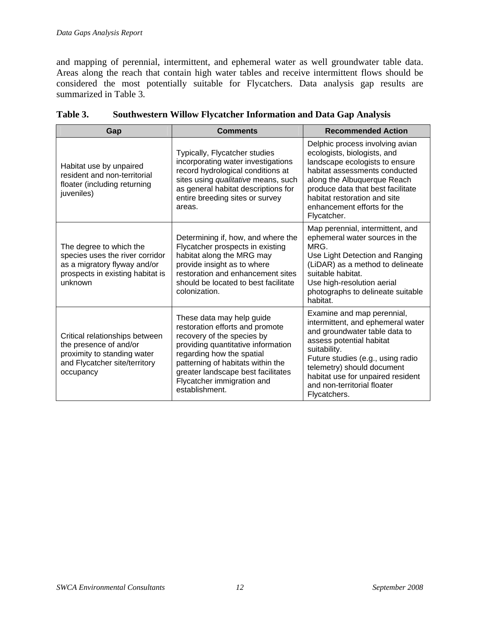<span id="page-14-0"></span>and mapping of perennial, intermittent, and ephemeral water as well groundwater table data. Areas along the reach that contain high water tables and receive intermittent flows should be considered the most potentially suitable for Flycatchers. Data analysis gap results are summarized in [Table 3](#page-14-1).

<span id="page-14-1"></span>

| Gap                                                                                                                                       | <b>Comments</b>                                                                                                                                                                                                                                                                          | <b>Recommended Action</b>                                                                                                                                                                                                                                                                           |
|-------------------------------------------------------------------------------------------------------------------------------------------|------------------------------------------------------------------------------------------------------------------------------------------------------------------------------------------------------------------------------------------------------------------------------------------|-----------------------------------------------------------------------------------------------------------------------------------------------------------------------------------------------------------------------------------------------------------------------------------------------------|
| Habitat use by unpaired<br>resident and non-territorial<br>floater (including returning<br>juveniles)                                     | Typically, Flycatcher studies<br>incorporating water investigations<br>record hydrological conditions at<br>sites using qualitative means, such<br>as general habitat descriptions for<br>entire breeding sites or survey<br>areas.                                                      | Delphic process involving avian<br>ecologists, biologists, and<br>landscape ecologists to ensure<br>habitat assessments conducted<br>along the Albuquerque Reach<br>produce data that best facilitate<br>habitat restoration and site<br>enhancement efforts for the<br>Flycatcher.                 |
| The degree to which the<br>species uses the river corridor<br>as a migratory flyway and/or<br>prospects in existing habitat is<br>unknown | Determining if, how, and where the<br>Flycatcher prospects in existing<br>habitat along the MRG may<br>provide insight as to where<br>restoration and enhancement sites<br>should be located to best facilitate<br>colonization.                                                         | Map perennial, intermittent, and<br>ephemeral water sources in the<br>MRG<br>Use Light Detection and Ranging<br>(LiDAR) as a method to delineate<br>suitable habitat.<br>Use high-resolution aerial<br>photographs to delineate suitable<br>habitat.                                                |
| Critical relationships between<br>the presence of and/or<br>proximity to standing water<br>and Flycatcher site/territory<br>occupancy     | These data may help guide<br>restoration efforts and promote<br>recovery of the species by<br>providing quantitative information<br>regarding how the spatial<br>patterning of habitats within the<br>greater landscape best facilitates<br>Flycatcher immigration and<br>establishment. | Examine and map perennial,<br>intermittent, and ephemeral water<br>and groundwater table data to<br>assess potential habitat<br>suitability.<br>Future studies (e.g., using radio<br>telemetry) should document<br>habitat use for unpaired resident<br>and non-territorial floater<br>Flycatchers. |

| Table 3. |                                                                         |  |  |  |
|----------|-------------------------------------------------------------------------|--|--|--|
|          | <b>Southwestern Willow Flycatcher Information and Data Gap Analysis</b> |  |  |  |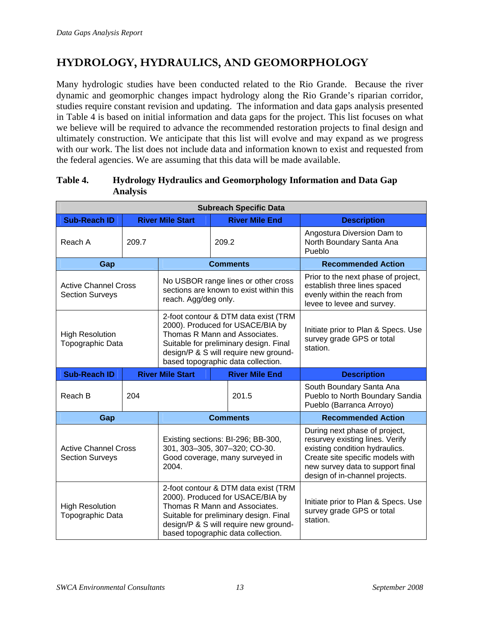# <span id="page-15-0"></span>**HYDROLOGY, HYDRAULICS, AND GEOMORPHOLOGY**

Many hydrologic studies have been conducted related to the Rio Grande. Because the river dynamic and geomorphic changes impact hydrology along the Rio Grande's riparian corridor, studies require constant revision and updating. The information and data gaps analysis presented in [Table 4](#page-15-1) is based on initial information and data gaps for the project. This list focuses on what we believe will be required to advance the recommended restoration projects to final design and ultimately construction. We anticipate that this list will evolve and may expand as we progress with our work. The list does not include data and information known to exist and requested from the federal agencies. We are assuming that this data will be made available.

| <b>Subreach Specific Data</b>                         |       |                                                                                                                                                                                                                                    |  |                       |                                                                                                                                                                                                              |  |                                                                  |
|-------------------------------------------------------|-------|------------------------------------------------------------------------------------------------------------------------------------------------------------------------------------------------------------------------------------|--|-----------------------|--------------------------------------------------------------------------------------------------------------------------------------------------------------------------------------------------------------|--|------------------------------------------------------------------|
| <b>Sub-Reach ID</b>                                   |       | <b>River Mile Start</b>                                                                                                                                                                                                            |  | <b>River Mile End</b> | <b>Description</b>                                                                                                                                                                                           |  |                                                                  |
| Reach A                                               | 209.7 |                                                                                                                                                                                                                                    |  | 209.2                 |                                                                                                                                                                                                              |  | Angostura Diversion Dam to<br>North Boundary Santa Ana<br>Pueblo |
| Gap                                                   |       | <b>Comments</b>                                                                                                                                                                                                                    |  |                       | <b>Recommended Action</b>                                                                                                                                                                                    |  |                                                                  |
| <b>Active Channel Cross</b><br><b>Section Surveys</b> |       | No USBOR range lines or other cross<br>sections are known to exist within this<br>reach. Agg/deg only.                                                                                                                             |  |                       | Prior to the next phase of project,<br>establish three lines spaced<br>evenly within the reach from<br>levee to levee and survey.                                                                            |  |                                                                  |
| <b>High Resolution</b><br>Topographic Data            |       | 2-foot contour & DTM data exist (TRM<br>2000). Produced for USACE/BIA by<br>Thomas R Mann and Associates.<br>Suitable for preliminary design. Final<br>design/P & S will require new ground-<br>based topographic data collection. |  |                       | Initiate prior to Plan & Specs. Use<br>survey grade GPS or total<br>station.                                                                                                                                 |  |                                                                  |
| <b>Sub-Reach ID</b>                                   |       | <b>River Mile Start</b>                                                                                                                                                                                                            |  | <b>River Mile End</b> | <b>Description</b>                                                                                                                                                                                           |  |                                                                  |
| Reach B                                               | 204   |                                                                                                                                                                                                                                    |  | 201.5                 | South Boundary Santa Ana<br>Pueblo to North Boundary Sandia<br>Pueblo (Barranca Arroyo)                                                                                                                      |  |                                                                  |
| Gap                                                   |       |                                                                                                                                                                                                                                    |  | <b>Comments</b>       | <b>Recommended Action</b>                                                                                                                                                                                    |  |                                                                  |
| <b>Active Channel Cross</b><br><b>Section Surveys</b> |       | Existing sections: BI-296; BB-300,<br>301, 303-305, 307-320; CO-30.<br>Good coverage, many surveyed in<br>2004.                                                                                                                    |  |                       | During next phase of project,<br>resurvey existing lines. Verify<br>existing condition hydraulics.<br>Create site specific models with<br>new survey data to support final<br>design of in-channel projects. |  |                                                                  |
| <b>High Resolution</b><br>Topographic Data            |       | 2-foot contour & DTM data exist (TRM<br>2000). Produced for USACE/BIA by<br>Thomas R Mann and Associates.<br>Suitable for preliminary design. Final<br>design/P & S will require new ground-<br>based topographic data collection. |  |                       | Initiate prior to Plan & Specs. Use<br>survey grade GPS or total<br>station.                                                                                                                                 |  |                                                                  |

#### <span id="page-15-1"></span>**Table 4. Hydrology Hydraulics and Geomorphology Information and Data Gap Analysis**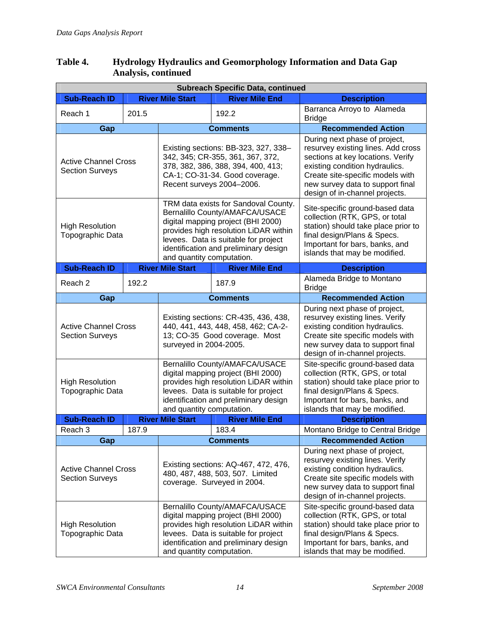#### **Table 4. Hydrology Hydraulics and Geomorphology Information and Data Gap Analysis, continued**

| <b>Subreach Specific Data, continued</b>              |                             |                                                                                                                                                                                                                                                                     |                                                                                                                                                                                                |                                                                                                                                                                                                                                                      |  |  |  |
|-------------------------------------------------------|-----------------------------|---------------------------------------------------------------------------------------------------------------------------------------------------------------------------------------------------------------------------------------------------------------------|------------------------------------------------------------------------------------------------------------------------------------------------------------------------------------------------|------------------------------------------------------------------------------------------------------------------------------------------------------------------------------------------------------------------------------------------------------|--|--|--|
| <b>Sub-Reach ID</b>                                   |                             | <b>River Mile Start</b>                                                                                                                                                                                                                                             | <b>River Mile End</b>                                                                                                                                                                          | <b>Description</b>                                                                                                                                                                                                                                   |  |  |  |
| Reach 1                                               | 201.5                       |                                                                                                                                                                                                                                                                     | 192.2                                                                                                                                                                                          | Barranca Arroyo to Alameda<br><b>Bridge</b>                                                                                                                                                                                                          |  |  |  |
| Gap                                                   |                             |                                                                                                                                                                                                                                                                     | <b>Comments</b>                                                                                                                                                                                | <b>Recommended Action</b>                                                                                                                                                                                                                            |  |  |  |
| <b>Section Surveys</b>                                | <b>Active Channel Cross</b> |                                                                                                                                                                                                                                                                     | Existing sections: BB-323, 327, 338-<br>342, 345; CR-355, 361, 367, 372,<br>378, 382, 386, 388, 394, 400, 413;<br>CA-1; CO-31-34. Good coverage.<br>Recent surveys 2004-2006.                  | During next phase of project,<br>resurvey existing lines. Add cross<br>sections at key locations. Verify<br>existing condition hydraulics.<br>Create site-specific models with<br>new survey data to support final<br>design of in-channel projects. |  |  |  |
| <b>High Resolution</b><br>Topographic Data            |                             | TRM data exists for Sandoval County.<br>Bernalillo County/AMAFCA/USACE<br>digital mapping project (BHI 2000)<br>provides high resolution LiDAR within<br>levees. Data is suitable for project<br>identification and preliminary design<br>and quantity computation. |                                                                                                                                                                                                | Site-specific ground-based data<br>collection (RTK, GPS, or total<br>station) should take place prior to<br>final design/Plans & Specs.<br>Important for bars, banks, and<br>islands that may be modified.                                           |  |  |  |
| <b>Sub-Reach ID</b>                                   |                             | <b>River Mile Start</b>                                                                                                                                                                                                                                             | <b>River Mile End</b>                                                                                                                                                                          | <b>Description</b>                                                                                                                                                                                                                                   |  |  |  |
| Reach <sub>2</sub>                                    | 192.2                       |                                                                                                                                                                                                                                                                     | 187.9                                                                                                                                                                                          | Alameda Bridge to Montano<br><b>Bridge</b>                                                                                                                                                                                                           |  |  |  |
| Gap                                                   |                             |                                                                                                                                                                                                                                                                     | <b>Comments</b>                                                                                                                                                                                | <b>Recommended Action</b>                                                                                                                                                                                                                            |  |  |  |
| <b>Active Channel Cross</b><br><b>Section Surveys</b> |                             | Existing sections: CR-435, 436, 438,<br>440, 441, 443, 448, 458, 462; CA-2-<br>13; CO-35 Good coverage. Most<br>surveyed in 2004-2005.                                                                                                                              |                                                                                                                                                                                                | During next phase of project,<br>resurvey existing lines. Verify<br>existing condition hydraulics.<br>Create site specific models with<br>new survey data to support final<br>design of in-channel projects.                                         |  |  |  |
| <b>High Resolution</b><br>Topographic Data            |                             | Bernalillo County/AMAFCA/USACE<br>digital mapping project (BHI 2000)<br>provides high resolution LiDAR within<br>levees. Data is suitable for project<br>identification and preliminary design<br>and quantity computation.                                         |                                                                                                                                                                                                | Site-specific ground-based data<br>collection (RTK, GPS, or total<br>station) should take place prior to<br>final design/Plans & Specs.<br>Important for bars, banks, and<br>islands that may be modified.                                           |  |  |  |
| <b>Sub-Reach ID</b>                                   |                             | <b>River Mile Start</b>                                                                                                                                                                                                                                             | <b>River Mile End</b>                                                                                                                                                                          | <b>Description</b>                                                                                                                                                                                                                                   |  |  |  |
| Reach <sub>3</sub>                                    | 187.9                       |                                                                                                                                                                                                                                                                     | 183.4                                                                                                                                                                                          | Montano Bridge to Central Bridge                                                                                                                                                                                                                     |  |  |  |
| Gap                                                   |                             |                                                                                                                                                                                                                                                                     | <b>Comments</b>                                                                                                                                                                                | <b>Recommended Action</b>                                                                                                                                                                                                                            |  |  |  |
| <b>Active Channel Cross</b><br><b>Section Surveys</b> |                             | Existing sections: AQ-467, 472, 476,<br>480, 487, 488, 503, 507. Limited<br>coverage. Surveyed in 2004.                                                                                                                                                             |                                                                                                                                                                                                | During next phase of project,<br>resurvey existing lines. Verify<br>existing condition hydraulics.<br>Create site specific models with<br>new survey data to support final<br>design of in-channel projects.                                         |  |  |  |
| <b>High Resolution</b><br>Topographic Data            |                             | and quantity computation.                                                                                                                                                                                                                                           | Bernalillo County/AMAFCA/USACE<br>digital mapping project (BHI 2000)<br>provides high resolution LiDAR within<br>levees. Data is suitable for project<br>identification and preliminary design | Site-specific ground-based data<br>collection (RTK, GPS, or total<br>station) should take place prior to<br>final design/Plans & Specs.<br>Important for bars, banks, and<br>islands that may be modified.                                           |  |  |  |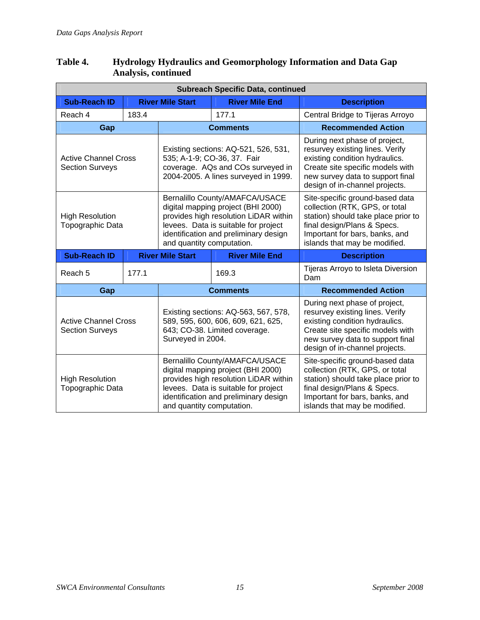#### **Table 4. Hydrology Hydraulics and Geomorphology Information and Data Gap Analysis, continued**

| <b>Subreach Specific Data, continued</b>                                                                                                                                                  |                             |                                                                                                    |                                                                                                                                                                                                                             |                                                                                                                                                                                                              |  |  |
|-------------------------------------------------------------------------------------------------------------------------------------------------------------------------------------------|-----------------------------|----------------------------------------------------------------------------------------------------|-----------------------------------------------------------------------------------------------------------------------------------------------------------------------------------------------------------------------------|--------------------------------------------------------------------------------------------------------------------------------------------------------------------------------------------------------------|--|--|
| <b>Sub-Reach ID</b>                                                                                                                                                                       |                             | <b>River Mile Start</b>                                                                            | <b>River Mile End</b>                                                                                                                                                                                                       | <b>Description</b>                                                                                                                                                                                           |  |  |
| Reach 4                                                                                                                                                                                   | 183.4                       |                                                                                                    | 177.1                                                                                                                                                                                                                       | Central Bridge to Tijeras Arroyo                                                                                                                                                                             |  |  |
| Gap                                                                                                                                                                                       |                             | <b>Comments</b>                                                                                    |                                                                                                                                                                                                                             | <b>Recommended Action</b>                                                                                                                                                                                    |  |  |
| <b>Section Surveys</b>                                                                                                                                                                    | <b>Active Channel Cross</b> |                                                                                                    | Existing sections: AQ-521, 526, 531,<br>535; A-1-9; CO-36, 37. Fair<br>coverage. AQs and COs surveyed in<br>2004-2005. A lines surveyed in 1999.                                                                            | During next phase of project,<br>resurvey existing lines. Verify<br>existing condition hydraulics.<br>Create site specific models with<br>new survey data to support final<br>design of in-channel projects. |  |  |
| <b>High Resolution</b><br>Topographic Data                                                                                                                                                |                             |                                                                                                    | Bernalillo County/AMAFCA/USACE<br>digital mapping project (BHI 2000)<br>provides high resolution LiDAR within<br>levees. Data is suitable for project<br>identification and preliminary design<br>and quantity computation. | Site-specific ground-based data<br>collection (RTK, GPS, or total<br>station) should take place prior to<br>final design/Plans & Specs.<br>Important for bars, banks, and<br>islands that may be modified.   |  |  |
| <b>Sub-Reach ID</b>                                                                                                                                                                       |                             | <b>River Mile Start</b>                                                                            | <b>River Mile End</b>                                                                                                                                                                                                       | <b>Description</b>                                                                                                                                                                                           |  |  |
| Reach 5                                                                                                                                                                                   | 177.1                       |                                                                                                    | 169.3                                                                                                                                                                                                                       | Tijeras Arroyo to Isleta Diversion<br>Dam                                                                                                                                                                    |  |  |
| Gap                                                                                                                                                                                       |                             |                                                                                                    | <b>Comments</b>                                                                                                                                                                                                             | <b>Recommended Action</b>                                                                                                                                                                                    |  |  |
| Existing sections: AQ-563, 567, 578,<br>589, 595, 600, 606, 609, 621, 625,<br><b>Active Channel Cross</b><br>643; CO-38. Limited coverage.<br><b>Section Surveys</b><br>Surveyed in 2004. |                             | During next phase of project,<br>resurvey existing lines. Verify<br>existing condition hydraulics. |                                                                                                                                                                                                                             |                                                                                                                                                                                                              |  |  |
|                                                                                                                                                                                           |                             |                                                                                                    |                                                                                                                                                                                                                             | Create site specific models with<br>new survey data to support final<br>design of in-channel projects.                                                                                                       |  |  |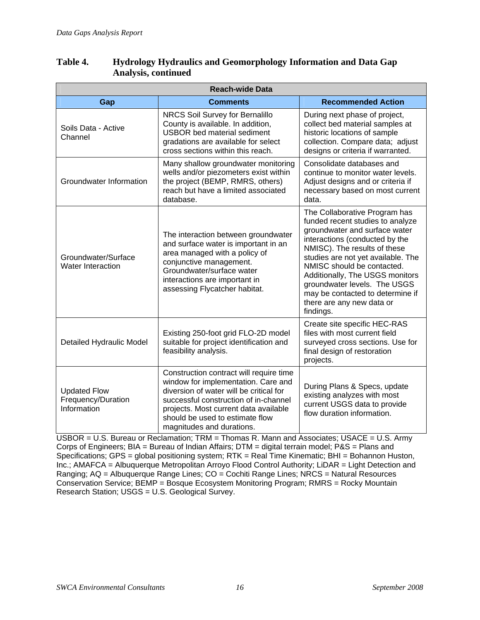| <b>Reach-wide Data</b>                                   |                                                                                                                                                                                                                                                                             |                                                                                                                                                                                                                                                                                                                                                                                           |  |  |
|----------------------------------------------------------|-----------------------------------------------------------------------------------------------------------------------------------------------------------------------------------------------------------------------------------------------------------------------------|-------------------------------------------------------------------------------------------------------------------------------------------------------------------------------------------------------------------------------------------------------------------------------------------------------------------------------------------------------------------------------------------|--|--|
| Gap                                                      | <b>Comments</b>                                                                                                                                                                                                                                                             | <b>Recommended Action</b>                                                                                                                                                                                                                                                                                                                                                                 |  |  |
| Soils Data - Active<br>Channel                           | NRCS Soil Survey for Bernalillo<br>County is available. In addition,<br><b>USBOR</b> bed material sediment<br>gradations are available for select<br>cross sections within this reach.                                                                                      | During next phase of project,<br>collect bed material samples at<br>historic locations of sample<br>collection. Compare data; adjust<br>designs or criteria if warranted.                                                                                                                                                                                                                 |  |  |
| Groundwater Information                                  | Many shallow groundwater monitoring<br>wells and/or piezometers exist within<br>the project (BEMP, RMRS, others)<br>reach but have a limited associated<br>database.                                                                                                        | Consolidate databases and<br>continue to monitor water levels.<br>Adjust designs and or criteria if<br>necessary based on most current<br>data.                                                                                                                                                                                                                                           |  |  |
| Groundwater/Surface<br><b>Water Interaction</b>          | The interaction between groundwater<br>and surface water is important in an<br>area managed with a policy of<br>conjunctive management.<br>Groundwater/surface water<br>interactions are important in<br>assessing Flycatcher habitat.                                      | The Collaborative Program has<br>funded recent studies to analyze<br>groundwater and surface water<br>interactions (conducted by the<br>NMISC). The results of these<br>studies are not yet available. The<br>NMISC should be contacted.<br>Additionally, The USGS monitors<br>groundwater levels. The USGS<br>may be contacted to determine if<br>there are any new data or<br>findings. |  |  |
| Detailed Hydraulic Model                                 | Existing 250-foot grid FLO-2D model<br>suitable for project identification and<br>feasibility analysis.                                                                                                                                                                     | Create site specific HEC-RAS<br>files with most current field<br>surveyed cross sections. Use for<br>final design of restoration<br>projects.                                                                                                                                                                                                                                             |  |  |
| <b>Updated Flow</b><br>Frequency/Duration<br>Information | Construction contract will require time<br>window for implementation. Care and<br>diversion of water will be critical for<br>successful construction of in-channel<br>projects. Most current data available<br>should be used to estimate flow<br>magnitudes and durations. | During Plans & Specs, update<br>existing analyzes with most<br>current USGS data to provide<br>flow duration information.                                                                                                                                                                                                                                                                 |  |  |

#### **Table 4. Hydrology Hydraulics and Geomorphology Information and Data Gap Analysis, continued**

USBOR = U.S. Bureau or Reclamation; TRM = Thomas R. Mann and Associates; USACE = U.S. Army Corps of Engineers; BIA = Bureau of Indian Affairs; DTM = digital terrain model; P&S = Plans and Specifications; GPS = global positioning system; RTK = Real Time Kinematic; BHI = Bohannon Huston, Inc.; AMAFCA = Albuquerque Metropolitan Arroyo Flood Control Authority; LiDAR = Light Detection and Ranging; AQ = Albuquerque Range Lines; CO = Cochiti Range Lines; NRCS = Natural Resources Conservation Service; BEMP = Bosque Ecosystem Monitoring Program; RMRS = Rocky Mountain Research Station; USGS = U.S. Geological Survey.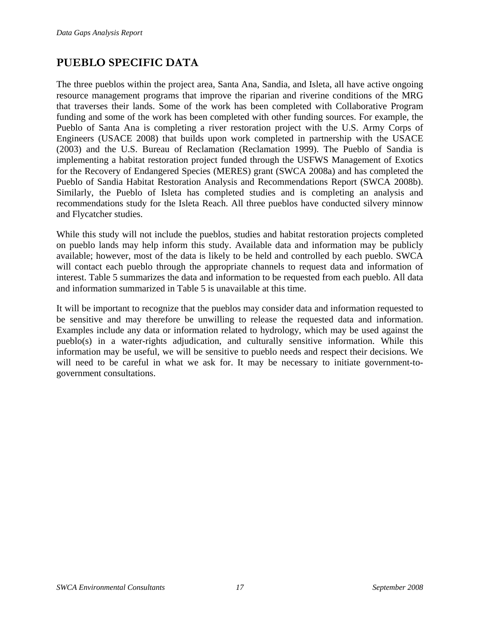### <span id="page-19-0"></span>**PUEBLO SPECIFIC DATA**

The three pueblos within the project area, Santa Ana, Sandia, and Isleta, all have active ongoing resource management programs that improve the riparian and riverine conditions of the MRG that traverses their lands. Some of the work has been completed with Collaborative Program funding and some of the work has been completed with other funding sources. For example, the Pueblo of Santa Ana is completing a river restoration project with the U.S. Army Corps of Engineers (USACE 2008) that builds upon work completed in partnership with the USACE (2003) and the U.S. Bureau of Reclamation (Reclamation 1999). The Pueblo of Sandia is implementing a habitat restoration project funded through the USFWS Management of Exotics for the Recovery of Endangered Species (MERES) grant (SWCA 2008a) and has completed the Pueblo of Sandia Habitat Restoration Analysis and Recommendations Report (SWCA 2008b). Similarly, the Pueblo of Isleta has completed studies and is completing an analysis and recommendations study for the Isleta Reach. All three pueblos have conducted silvery minnow and Flycatcher studies.

While this study will not include the pueblos, studies and habitat restoration projects completed on pueblo lands may help inform this study. Available data and information may be publicly available; however, most of the data is likely to be held and controlled by each pueblo. SWCA will contact each pueblo through the appropriate channels to request data and information of interest. [Table 5](#page-20-1) summarizes the data and information to be requested from each pueblo. All data and information summarized in [Table 5](#page-20-1) is unavailable at this time.

It will be important to recognize that the pueblos may consider data and information requested to be sensitive and may therefore be unwilling to release the requested data and information. Examples include any data or information related to hydrology, which may be used against the pueblo(s) in a water-rights adjudication, and culturally sensitive information. While this information may be useful, we will be sensitive to pueblo needs and respect their decisions. We will need to be careful in what we ask for. It may be necessary to initiate government-togovernment consultations.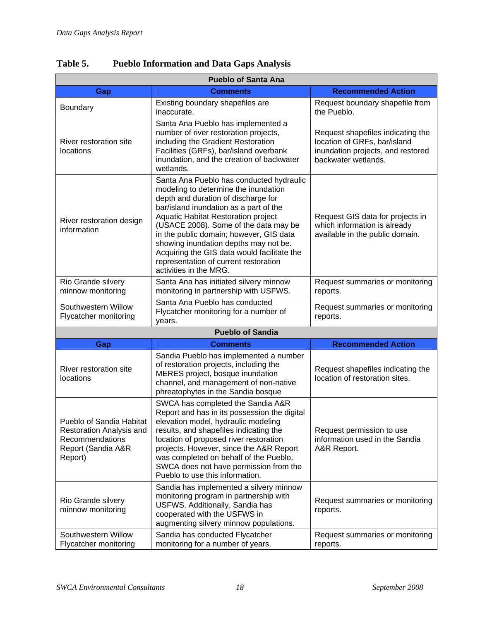| <b>Pueblo of Santa Ana</b>                                                                               |                                                                                                                                                                                                                                                                                                                                                                                                                                                         |                                                                                                                               |  |  |  |
|----------------------------------------------------------------------------------------------------------|---------------------------------------------------------------------------------------------------------------------------------------------------------------------------------------------------------------------------------------------------------------------------------------------------------------------------------------------------------------------------------------------------------------------------------------------------------|-------------------------------------------------------------------------------------------------------------------------------|--|--|--|
| Gap                                                                                                      | <b>Comments</b>                                                                                                                                                                                                                                                                                                                                                                                                                                         | <b>Recommended Action</b>                                                                                                     |  |  |  |
| Boundary                                                                                                 | Existing boundary shapefiles are<br>inaccurate.                                                                                                                                                                                                                                                                                                                                                                                                         | Request boundary shapefile from<br>the Pueblo.                                                                                |  |  |  |
| River restoration site<br>locations                                                                      | Santa Ana Pueblo has implemented a<br>number of river restoration projects,<br>including the Gradient Restoration<br>Facilities (GRFs), bar/island overbank<br>inundation, and the creation of backwater<br>wetlands.                                                                                                                                                                                                                                   | Request shapefiles indicating the<br>location of GRFs, bar/island<br>inundation projects, and restored<br>backwater wetlands. |  |  |  |
| River restoration design<br>information                                                                  | Santa Ana Pueblo has conducted hydraulic<br>modeling to determine the inundation<br>depth and duration of discharge for<br>bar/island inundation as a part of the<br>Aquatic Habitat Restoration project<br>(USACE 2008). Some of the data may be<br>in the public domain; however, GIS data<br>showing inundation depths may not be.<br>Acquiring the GIS data would facilitate the<br>representation of current restoration<br>activities in the MRG. | Request GIS data for projects in<br>which information is already<br>available in the public domain.                           |  |  |  |
| Rio Grande silvery<br>minnow monitoring                                                                  | Santa Ana has initiated silvery minnow<br>monitoring in partnership with USFWS.                                                                                                                                                                                                                                                                                                                                                                         | Request summaries or monitoring<br>reports.                                                                                   |  |  |  |
| Southwestern Willow<br>Flycatcher monitoring                                                             | Santa Ana Pueblo has conducted<br>Flycatcher monitoring for a number of<br>years.                                                                                                                                                                                                                                                                                                                                                                       | Request summaries or monitoring<br>reports.                                                                                   |  |  |  |
|                                                                                                          | <b>Pueblo of Sandia</b>                                                                                                                                                                                                                                                                                                                                                                                                                                 |                                                                                                                               |  |  |  |
| Gap                                                                                                      | <b>Comments</b>                                                                                                                                                                                                                                                                                                                                                                                                                                         | <b>Recommended Action</b>                                                                                                     |  |  |  |
| River restoration site<br>locations                                                                      | Sandia Pueblo has implemented a number<br>of restoration projects, including the<br>MERES project, bosque inundation<br>channel, and management of non-native<br>phreatophytes in the Sandia bosque                                                                                                                                                                                                                                                     | Request shapefiles indicating the<br>location of restoration sites.                                                           |  |  |  |
| Pueblo of Sandia Habitat<br>Restoration Analysis and<br>Recommendations<br>Report (Sandia A&R<br>Report) | SWCA has completed the Sandia A&R<br>Report and has in its possession the digital<br>elevation model, hydraulic modeling<br>results, and shapefiles indicating the<br>location of proposed river restoration<br>projects. However, since the A&R Report<br>was completed on behalf of the Pueblo,<br>SWCA does not have permission from the<br>Pueblo to use this information.                                                                          | Request permission to use<br>information used in the Sandia<br>A&R Report.                                                    |  |  |  |
| Rio Grande silvery<br>minnow monitoring                                                                  | Sandia has implemented a silvery minnow<br>monitoring program in partnership with<br>USFWS. Additionally, Sandia has<br>cooperated with the USFWS in<br>augmenting silvery minnow populations.                                                                                                                                                                                                                                                          | Request summaries or monitoring<br>reports.                                                                                   |  |  |  |
| Southwestern Willow<br>Flycatcher monitoring                                                             | Sandia has conducted Flycatcher<br>monitoring for a number of years.                                                                                                                                                                                                                                                                                                                                                                                    | Request summaries or monitoring<br>reports.                                                                                   |  |  |  |

<span id="page-20-1"></span><span id="page-20-0"></span>**Table 5. Pueblo Information and Data Gaps Analysis**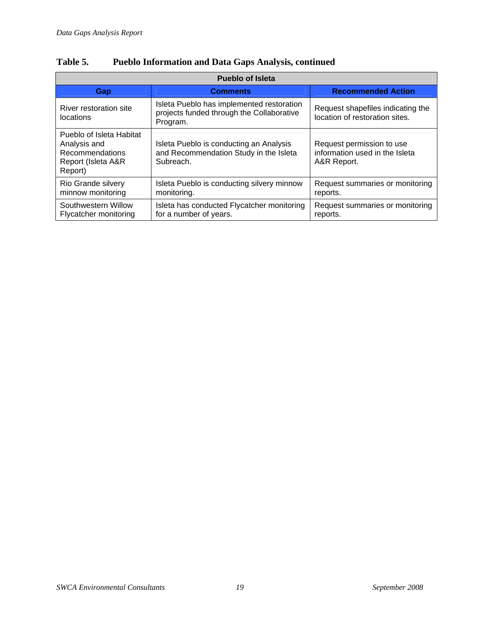| <b>Pueblo of Isleta</b>                                                                      |                                                                                                    |                                                                            |  |  |
|----------------------------------------------------------------------------------------------|----------------------------------------------------------------------------------------------------|----------------------------------------------------------------------------|--|--|
| <b>Gap</b>                                                                                   | <b>Comments</b>                                                                                    | <b>Recommended Action</b>                                                  |  |  |
| River restoration site<br>locations                                                          | Isleta Pueblo has implemented restoration<br>projects funded through the Collaborative<br>Program. | Request shapefiles indicating the<br>location of restoration sites.        |  |  |
| Pueblo of Isleta Habitat<br>Analysis and<br>Recommendations<br>Report (Isleta A&R<br>Report) | Isleta Pueblo is conducting an Analysis<br>and Recommendation Study in the Isleta<br>Subreach.     | Request permission to use<br>information used in the Isleta<br>A&R Report. |  |  |
| Rio Grande silvery<br>minnow monitoring                                                      | Isleta Pueblo is conducting silvery minnow<br>monitoring.                                          | Request summaries or monitoring<br>reports.                                |  |  |
| Southwestern Willow<br>Flycatcher monitoring                                                 | Isleta has conducted Flycatcher monitoring<br>for a number of years.                               | Request summaries or monitoring<br>reports.                                |  |  |

### **Table 5. Pueblo Information and Data Gaps Analysis, continued**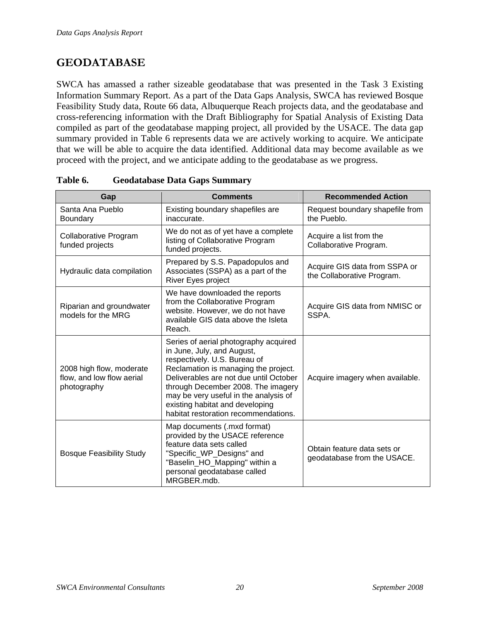# <span id="page-22-0"></span>**GEODATABASE**

SWCA has amassed a rather sizeable geodatabase that was presented in the Task 3 Existing Information Summary Report. As a part of the Data Gaps Analysis, SWCA has reviewed Bosque Feasibility Study data, Route 66 data, Albuquerque Reach projects data, and the geodatabase and cross-referencing information with the Draft Bibliography for Spatial Analysis of Existing Data compiled as part of the geodatabase mapping project, all provided by the USACE. The data gap summary provided in [Table 6](#page-22-1) represents data we are actively working to acquire. We anticipate that we will be able to acquire the data identified. Additional data may become available as we proceed with the project, and we anticipate adding to the geodatabase as we progress.

<span id="page-22-1"></span>

| Gap                                                                  | <b>Comments</b>                                                                                                                                                                                                                                                                                                                                 | <b>Recommended Action</b>                                   |
|----------------------------------------------------------------------|-------------------------------------------------------------------------------------------------------------------------------------------------------------------------------------------------------------------------------------------------------------------------------------------------------------------------------------------------|-------------------------------------------------------------|
| Santa Ana Pueblo<br><b>Boundary</b>                                  | Existing boundary shapefiles are<br>inaccurate.                                                                                                                                                                                                                                                                                                 | Request boundary shapefile from<br>the Pueblo.              |
| Collaborative Program<br>funded projects                             | We do not as of yet have a complete<br>listing of Collaborative Program<br>funded projects.                                                                                                                                                                                                                                                     | Acquire a list from the<br>Collaborative Program.           |
| Hydraulic data compilation                                           | Prepared by S.S. Papadopulos and<br>Associates (SSPA) as a part of the<br>River Eyes project                                                                                                                                                                                                                                                    | Acquire GIS data from SSPA or<br>the Collaborative Program. |
| Riparian and groundwater<br>models for the MRG                       | We have downloaded the reports<br>from the Collaborative Program<br>website. However, we do not have<br>available GIS data above the Isleta<br>Reach.                                                                                                                                                                                           | Acquire GIS data from NMISC or<br>SSPA.                     |
| 2008 high flow, moderate<br>flow, and low flow aerial<br>photography | Series of aerial photography acquired<br>in June, July, and August,<br>respectively. U.S. Bureau of<br>Reclamation is managing the project.<br>Deliverables are not due until October<br>through December 2008. The imagery<br>may be very useful in the analysis of<br>existing habitat and developing<br>habitat restoration recommendations. | Acquire imagery when available.                             |
| <b>Bosque Feasibility Study</b>                                      | Map documents (.mxd format)<br>provided by the USACE reference<br>feature data sets called<br>"Specific_WP_Designs" and<br>"Baselin_HO_Mapping" within a<br>personal geodatabase called<br>MRGBER.mdb.                                                                                                                                          | Obtain feature data sets or<br>geodatabase from the USACE.  |

**Table 6. Geodatabase Data Gaps Summary**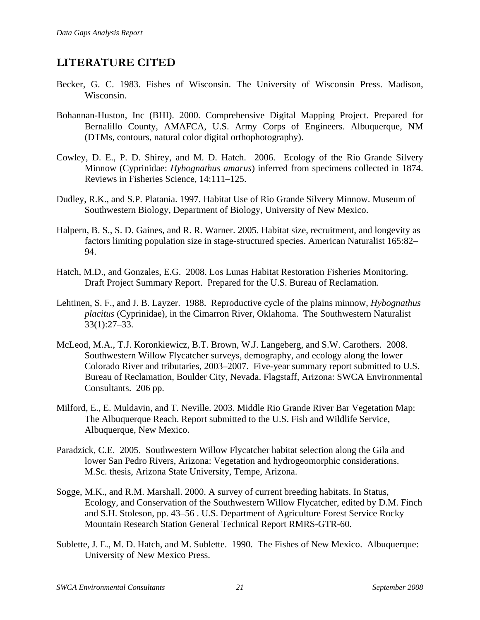### <span id="page-23-0"></span>**LITERATURE CITED**

- Becker, G. C. 1983. Fishes of Wisconsin. The University of Wisconsin Press. Madison, Wisconsin.
- Bohannan-Huston, Inc (BHI). 2000. Comprehensive Digital Mapping Project. Prepared for Bernalillo County, AMAFCA, U.S. Army Corps of Engineers. Albuquerque, NM (DTMs, contours, natural color digital orthophotography).
- Cowley, D. E., P. D. Shirey, and M. D. Hatch. 2006. Ecology of the Rio Grande Silvery Minnow (Cyprinidae: *Hybognathus amarus*) inferred from specimens collected in 1874. Reviews in Fisheries Science, 14:111–125.
- Dudley, R.K., and S.P. Platania. 1997. Habitat Use of Rio Grande Silvery Minnow. Museum of Southwestern Biology, Department of Biology, University of New Mexico.
- Halpern, B. S., S. D. Gaines, and R. R. Warner. 2005. Habitat size, recruitment, and longevity as factors limiting population size in stage-structured species. American Naturalist 165:82– 94.
- Hatch, M.D., and Gonzales, E.G. 2008. Los Lunas Habitat Restoration Fisheries Monitoring. Draft Project Summary Report. Prepared for the U.S. Bureau of Reclamation.
- Lehtinen, S. F., and J. B. Layzer. 1988. Reproductive cycle of the plains minnow, *Hybognathus placitus* (Cyprinidae), in the Cimarron River, Oklahoma. The Southwestern Naturalist 33(1):27–33.
- McLeod, M.A., T.J. Koronkiewicz, B.T. Brown, W.J. Langeberg, and S.W. Carothers. 2008. Southwestern Willow Flycatcher surveys, demography, and ecology along the lower Colorado River and tributaries, 2003–2007. Five-year summary report submitted to U.S. Bureau of Reclamation, Boulder City, Nevada. Flagstaff, Arizona: SWCA Environmental Consultants. 206 pp.
- Milford, E., E. Muldavin, and T. Neville. 2003. Middle Rio Grande River Bar Vegetation Map: The Albuquerque Reach. Report submitted to the U.S. Fish and Wildlife Service, Albuquerque, New Mexico.
- Paradzick, C.E. 2005. Southwestern Willow Flycatcher habitat selection along the Gila and lower San Pedro Rivers, Arizona: Vegetation and hydrogeomorphic considerations. M.Sc. thesis, Arizona State University, Tempe, Arizona.
- Sogge, M.K., and R.M. Marshall. 2000. A survey of current breeding habitats. In Status, Ecology, and Conservation of the Southwestern Willow Flycatcher, edited by D.M. Finch and S.H. Stoleson, pp. 43–56 . U.S. Department of Agriculture Forest Service Rocky Mountain Research Station General Technical Report RMRS-GTR-60.
- Sublette, J. E., M. D. Hatch, and M. Sublette. 1990. The Fishes of New Mexico. Albuquerque: University of New Mexico Press.